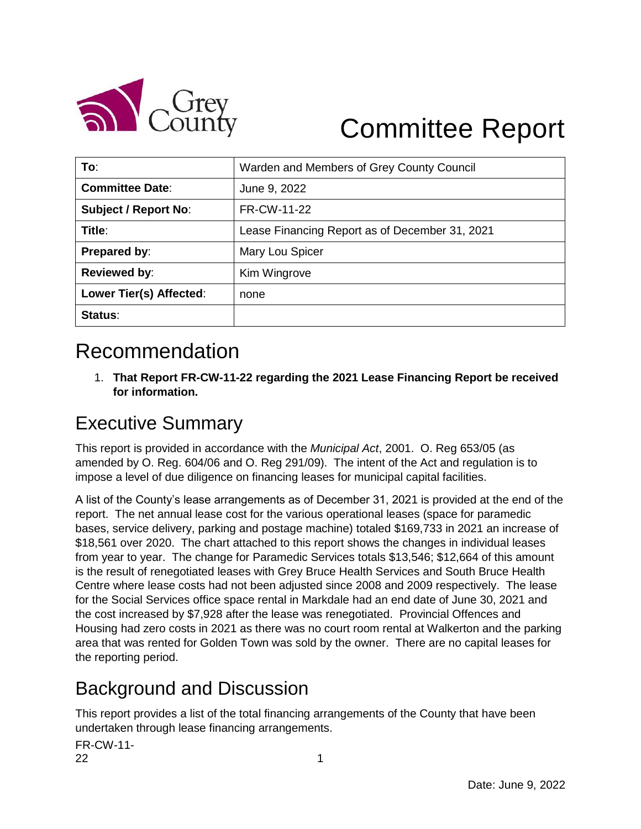

# Committee Report

| To:                         | Warden and Members of Grey County Council      |  |  |  |  |  |
|-----------------------------|------------------------------------------------|--|--|--|--|--|
| <b>Committee Date:</b>      | June 9, 2022                                   |  |  |  |  |  |
| <b>Subject / Report No:</b> | FR-CW-11-22                                    |  |  |  |  |  |
| Title:                      | Lease Financing Report as of December 31, 2021 |  |  |  |  |  |
| Prepared by:                | Mary Lou Spicer                                |  |  |  |  |  |
| <b>Reviewed by:</b>         | Kim Wingrove                                   |  |  |  |  |  |
| Lower Tier(s) Affected:     | none                                           |  |  |  |  |  |
| Status:                     |                                                |  |  |  |  |  |

### Recommendation

1. **That Report FR-CW-11-22 regarding the 2021 Lease Financing Report be received for information.**

#### Executive Summary

This report is provided in accordance with the *Municipal Act*, 2001. O. Reg 653/05 (as amended by O. Reg. 604/06 and O. Reg 291/09). The intent of the Act and regulation is to impose a level of due diligence on financing leases for municipal capital facilities.

A list of the County's lease arrangements as of December 31, 2021 is provided at the end of the report. The net annual lease cost for the various operational leases (space for paramedic bases, service delivery, parking and postage machine) totaled \$169,733 in 2021 an increase of \$18,561 over 2020. The chart attached to this report shows the changes in individual leases from year to year. The change for Paramedic Services totals \$13,546; \$12,664 of this amount is the result of renegotiated leases with Grey Bruce Health Services and South Bruce Health Centre where lease costs had not been adjusted since 2008 and 2009 respectively. The lease for the Social Services office space rental in Markdale had an end date of June 30, 2021 and the cost increased by \$7,928 after the lease was renegotiated. Provincial Offences and Housing had zero costs in 2021 as there was no court room rental at Walkerton and the parking area that was rented for Golden Town was sold by the owner. There are no capital leases for the reporting period.

#### Background and Discussion

This report provides a list of the total financing arrangements of the County that have been undertaken through lease financing arrangements.

FR-CW-11-  $22$  and  $1$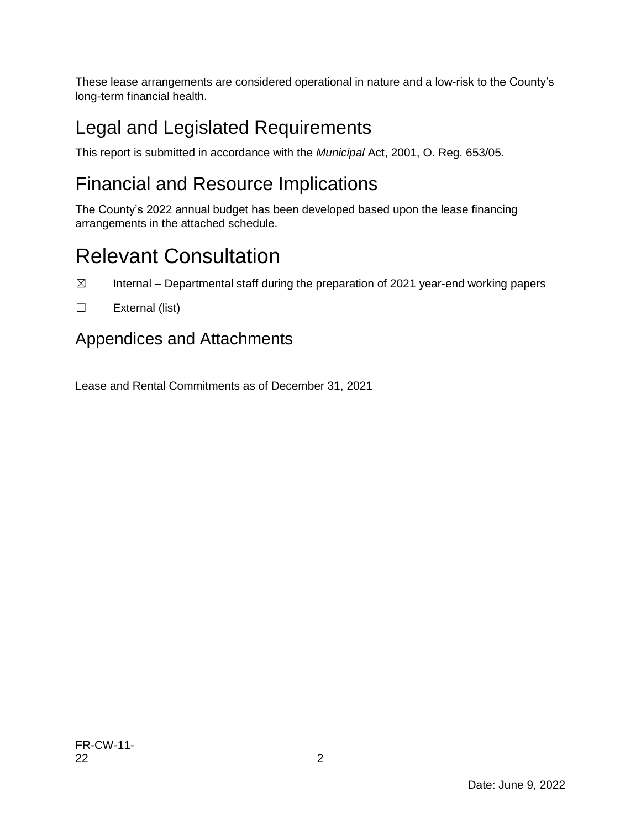These lease arrangements are considered operational in nature and a low-risk to the County's long-term financial health.

### Legal and Legislated Requirements

This report is submitted in accordance with the *Municipal* Act, 2001, O. Reg. 653/05.

### Financial and Resource Implications

The County's 2022 annual budget has been developed based upon the lease financing arrangements in the attached schedule.

## Relevant Consultation

- $\boxtimes$  Internal Departmental staff during the preparation of 2021 year-end working papers
- ☐ External (list)

#### Appendices and Attachments

Lease and Rental Commitments as of December 31, 2021